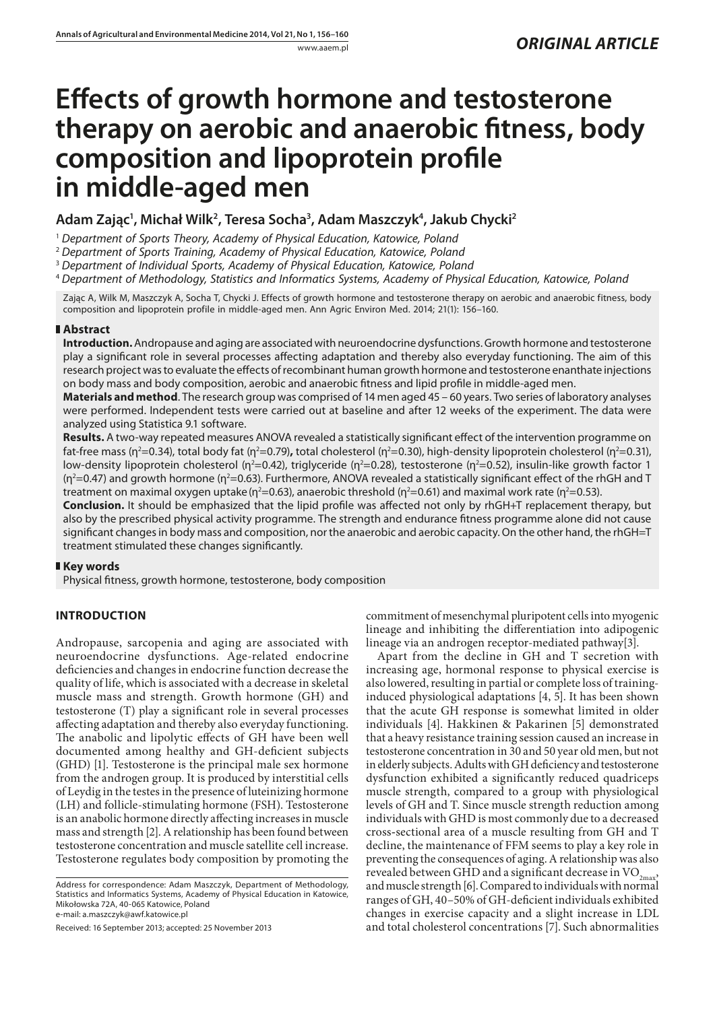# **Effects of growth hormone and testosterone therapy on aerobic and anaerobic fitness, body composition and lipoprotein profile in middle-aged men**

**Adam Zając1 , Michał Wilk2 , Teresa Socha3 , Adam Maszczyk4 , Jakub Chycki2**

<sup>1</sup> *Department of Sports Theory, Academy of Physical Education, Katowice, Poland*

<sup>2</sup> *Department of Sports Training, Academy of Physical Education, Katowice, Poland*

<sup>3</sup> *Department of Individual Sports, Academy of Physical Education, Katowice, Poland*

<sup>4</sup> *Department of Methodology, Statistics and Informatics Systems, Academy of Physical Education, Katowice, Poland*

Zając A, Wilk M, Maszczyk A, Socha T, Chycki J. Effects of growth hormone and testosterone therapy on aerobic and anaerobic fitness, body composition and lipoprotein profile in middle-aged men. Ann Agric Environ Med. 2014; 21(1): 156–160.

## **Abstract**

**Introduction.** Andropause and aging are associated with neuroendocrine dysfunctions. Growth hormone and testosterone play a significant role in several processes affecting adaptation and thereby also everyday functioning. The aim of this research project was to evaluate the effects of recombinant human growth hormone and testosterone enanthate injections on body mass and body composition, aerobic and anaerobic fitness and lipid profile in middle-aged men.

**Materials and method**. The research group was comprised of 14 men aged 45 – 60 years. Two series of laboratory analyses were performed. Independent tests were carried out at baseline and after 12 weeks of the experiment. The data were analyzed using Statistica 9.1 software.

**Results.** A two-way repeated measures ANOVA revealed a statistically significant effect of the intervention programme on fat-free mass (η²=0.34), total body fat (η²=0.79)**,** total cholesterol (η²=0.30), high-density lipoprotein cholesterol (η²=0.31), low-density lipoprotein cholesterol (η<sup>2</sup>=0.42), triglyceride (η<sup>2</sup>=0.28), testosterone (η<sup>2</sup>=0.52), insulin-like growth factor 1 ( $\eta^2$ =0.47) and growth hormone ( $\eta^2$ =0.63). Furthermore, ANOVA revealed a statistically significant effect of the rhGH and T treatment on maximal oxygen uptake (η²=0.63), anaerobic threshold (η²=0.61) and maximal work rate (η²=0.53).

**Conclusion.** It should be emphasized that the lipid profile was affected not only by rhGH+T replacement therapy, but also by the prescribed physical activity programme. The strength and endurance fitness programme alone did not cause significant changes in body mass and composition, nor the anaerobic and aerobic capacity. On the other hand, the rhGH=T treatment stimulated these changes significantly.

## **Key words**

Physical fitness, growth hormone, testosterone, body composition

# **INTRODUCTION**

Andropause, sarcopenia and aging are associated with neuroendocrine dysfunctions. Age-related endocrine deficiencies and changes in endocrine function decrease the quality of life, which is associated with a decrease in skeletal muscle mass and strength. Growth hormone (GH) and testosterone (T) play a significant role in several processes affecting adaptation and thereby also everyday functioning. The anabolic and lipolytic effects of GH have been well documented among healthy and GH-deficient subjects (GHD) [1]. Testosterone is the principal male sex hormone from the androgen group. It is produced by interstitial cells of Leydig in the testes in the presence of luteinizing hormone (LH) and follicle-stimulating hormone (FSH). Testosterone is an anabolic hormone directly affecting increases in muscle mass and strength [2]. A relationship has been found between testosterone concentration and muscle satellite cell increase. Testosterone regulates body composition by promoting the

Address for correspondence: Adam Maszczyk, Department of Methodology, Statistics and Informatics Systems, Academy of Physical Education in Katowice, Mikołowska 72A, 40-065 Katowice, Poland e-mail: a.maszczyk@awf.katowice.pl

Received: 16 September 2013; accepted: 25 November 2013

commitment of mesenchymal pluripotent cells into myogenic lineage and inhibiting the differentiation into adipogenic lineage via an androgen receptor-mediated pathway[3].

Apart from the decline in GH and T secretion with increasing age, hormonal response to physical exercise is also lowered, resulting in partial or complete loss of traininginduced physiological adaptations [4, 5]. It has been shown that the acute GH response is somewhat limited in older individuals [4]. Hakkinen & Pakarinen [5] demonstrated that a heavy resistance training session caused an increase in testosterone concentration in 30 and 50 year old men, but not in elderly subjects. Adults with GH deficiency and testosterone dysfunction exhibited a significantly reduced quadriceps muscle strength, compared to a group with physiological levels of GH and T. Since muscle strength reduction among individuals with GHD is most commonly due to a decreased cross**-**sectional area of a muscle resulting from GH and T decline, the maintenance of FFM seems to play a key role in preventing the consequences of aging. A relationship was also revealed between GHD and a significant decrease in  $\mathrm{VO}_{\mathrm{2max}}$ and muscle strength [6]. Compared to individuals with normal ranges of GH, 40–50% of GH-deficient individuals exhibited changes in exercise capacity and a slight increase in LDL and total cholesterol concentrations [7]. Such abnormalities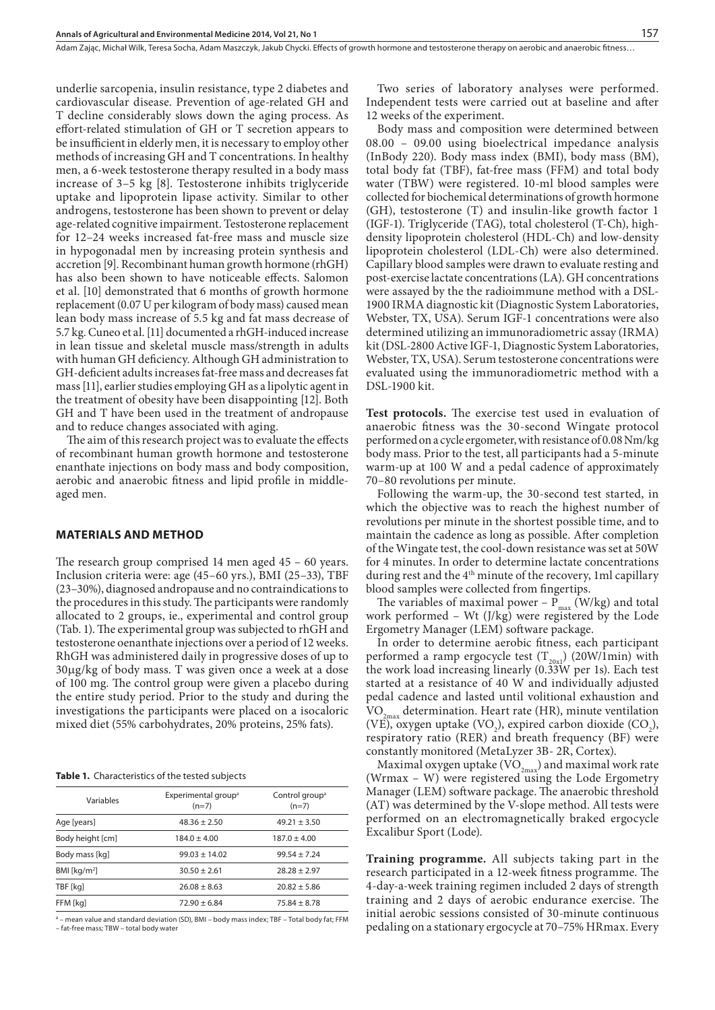underlie sarcopenia, insulin resistance, type 2 diabetes and cardiovascular disease. Prevention of age-related GH and T decline considerably slows down the aging process. As effort-related stimulation of GH or T secretion appears to be insufficient in elderly men, it is necessary to employ other methods of increasing GH and T concentrations. In healthy men, a 6-week testosterone therapy resulted in a body mass increase of 3–5 kg [8]. Testosterone inhibits triglyceride uptake and lipoprotein lipase activity. Similar to other androgens, testosterone has been shown to prevent or delay age-related cognitive impairment. Testosterone replacement for 12–24 weeks increased fat-free mass and muscle size in hypogonadal men by increasing protein synthesis and accretion [9]. Recombinant human growth hormone (rhGH) has also been shown to have noticeable effects. Salomon et al. [10] demonstrated that 6 months of growth hormone replacement (0.07 U per kilogram of body mass) caused mean lean body mass increase of 5.5 kg and fat mass decrease of 5.7 kg. Cuneo et al. [11] documented a rhGH-induced increase in lean tissue and skeletal muscle mass/strength in adults with human GH deficiency. Although GH administration to GH-deficient adults increases fat-free mass and decreases fat mass [11], earlier studies employing GH as a lipolytic agent in the treatment of obesity have been disappointing [12]. Both GH and T have been used in the treatment of andropause and to reduce changes associated with aging.

The aim of this research project was to evaluate the effects of recombinant human growth hormone and testosterone enanthate injections on body mass and body composition, aerobic and anaerobic fitness and lipid profile in middleaged men.

#### **MATERIALS AND METHOD**

The research group comprised 14 men aged 45 – 60 years. Inclusion criteria were: age (45–60 yrs.), BMI (25–33), TBF (23–30%), diagnosed andropause and no contraindications to the procedures in this study. The participants were randomly allocated to 2 groups, ie., experimental and control group (Tab. 1). The experimental group was subjected to rhGH and testosterone oenanthate injections over a period of 12 weeks. RhGH was administered daily in progressive doses of up to  $30\mu g/kg$  of body mass. T was given once a week at a dose of 100 mg. The control group were given a placebo during the entire study period. Prior to the study and during the investigations the participants were placed on a isocaloric mixed diet (55% carbohydrates, 20% proteins, 25% fats).

**Table 1.** Characteristics of the tested subjects

| Variables        | Experimental group <sup>a</sup><br>$(n=7)$ | Control group <sup>a</sup><br>$(n=7)$ |  |  |
|------------------|--------------------------------------------|---------------------------------------|--|--|
| Age [years]      | $48.36 \pm 2.50$                           | $49.21 + 3.50$                        |  |  |
| Body height [cm] | $184.0 + 4.00$                             | $187.0 + 4.00$                        |  |  |
| Body mass [kg]   | $99.03 + 14.02$                            | $99.54 + 7.24$                        |  |  |
| BMI [ $kg/m2$ ]  | $30.50 + 2.61$                             | $28.28 + 2.97$                        |  |  |
| TBF [kg]         | $26.08 + 8.63$                             | $20.82 + 5.86$                        |  |  |
| FFM [kg]         | $72.90 + 6.84$                             | $75.84 \pm 8.78$                      |  |  |
|                  |                                            |                                       |  |  |

a – mean value and standard deviation (SD), BMI – body mass index; TBF – Total body fat; FFM – fat-free mass; TBW – total body water

Two series of laboratory analyses were performed. Independent tests were carried out at baseline and after 12 weeks of the experiment.

Body mass and composition were determined between 08.00 – 09.00 using bioelectrical impedance analysis (InBody 220). Body mass index (BMI), body mass (BM), total body fat (TBF), fat-free mass (FFM) and total body water (TBW) were registered. 10-ml blood samples were collected for biochemical determinations of growth hormone (GH), testosterone (T) and insulin-like growth factor 1 (IGF-1). Triglyceride (TAG), total cholesterol (T-Ch), highdensity lipoprotein cholesterol (HDL-Ch) and low-density lipoprotein cholesterol (LDL-Ch) were also determined. Capillary blood samples were drawn to evaluate resting and post-exercise lactate concentrations (LA). GH concentrations were assayed by the the radioimmune method with a DSL-1900 IRMA diagnostic kit (Diagnostic System Laboratories, Webster, TX, USA). Serum IGF-1 concentrations were also determined utilizing an immunoradiometric assay (IRMA) kit (DSL-2800 Active IGF-1, Diagnostic System Laboratories, Webster, TX, USA). Serum testosterone concentrations were evaluated using the immunoradiometric method with a DSL-1900 kit.

**Test protocols.** The exercise test used in evaluation of anaerobic fitness was the 30-second Wingate protocol performed on a cycle ergometer, with resistance of 0.08 Nm/kg body mass. Prior to the test, all participants had a 5-minute warm-up at 100 W and a pedal cadence of approximately 70–80 revolutions per minute.

Following the warm-up, the 30-second test started, in which the objective was to reach the highest number of revolutions per minute in the shortest possible time, and to maintain the cadence as long as possible. After completion of the Wingate test, the cool-down resistance was set at 50W for 4 minutes. In order to determine lactate concentrations during rest and the 4th minute of the recovery, 1ml capillary blood samples were collected from fingertips.

The variables of maximal power –  $P_{max}$  (W/kg) and total work performed – Wt (J/kg) were registered by the Lode Ergometry Manager (LEM) software package.

In order to determine aerobic fitness, each participant performed a ramp ergocycle test  $(T_{20x1})$  (20W/1min) with the work load increasing linearly (0.33W per 1s). Each test started at a resistance of 40 W and individually adjusted pedal cadence and lasted until volitional exhaustion and  $VO_{2<sub>max</sub>}$  determination. Heart rate (HR), minute ventilation (VE), oxygen uptake  $(VO_2)$ , expired carbon dioxide  $(CO_2)$ , respiratory ratio (RER) and breath frequency (BF) were constantly monitored (MetaLyzer 3B‐ 2R, Cortex).

Maximal oxygen uptake  $\rm (VO_{2max})$  and maximal work rate (Wrmax – W) were registered using the Lode Ergometry Manager (LEM) software package. The anaerobic threshold (AT) was determined by the V-slope method. All tests were performed on an electromagnetically braked ergocycle Excalibur Sport (Lode).

**Training programme.** All subjects taking part in the research participated in a 12-week fitness programme. The 4-day-a-week training regimen included 2 days of strength training and 2 days of aerobic endurance exercise. The initial aerobic sessions consisted of 30-minute continuous pedaling on a stationary ergocycle at 70–75% HRmax. Every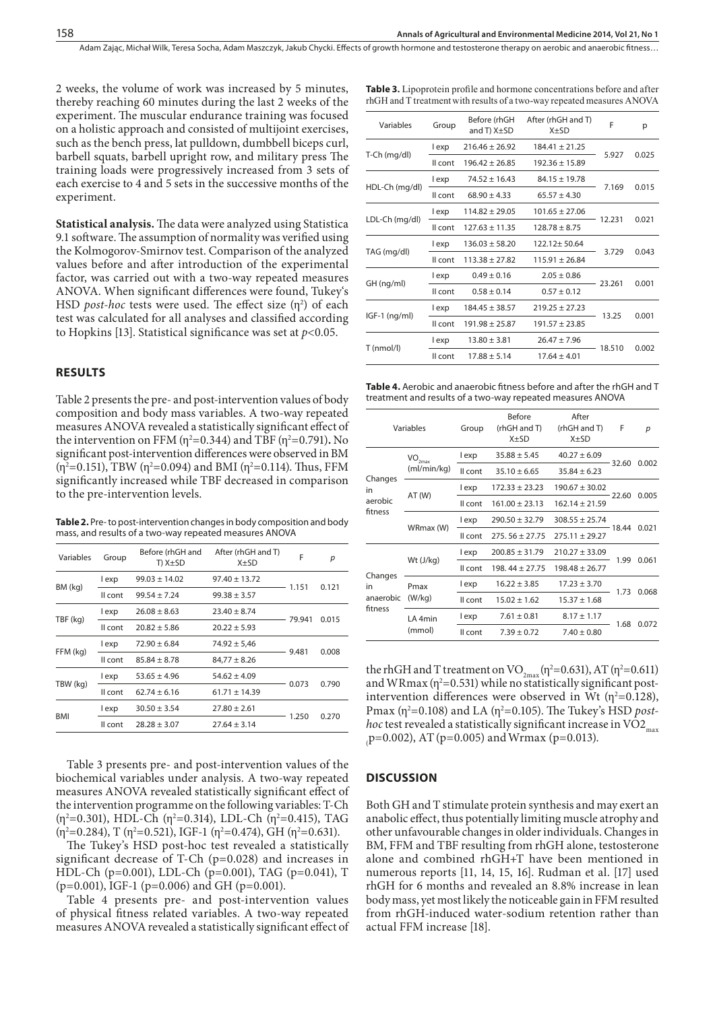**Table 3.** Lipoprotein profile and hormone concentrations before and after rhGH and T treatment with results of a two-way repeated measures ANOVA

Adam Zając, Michał Wilk, Teresa Socha, Adam Maszczyk, Jakub Chycki . Effects of growth hormone and testosterone therapy on aerobic and anaerobic fitness…

2 weeks, the volume of work was increased by 5 minutes, thereby reaching 60 minutes during the last 2 weeks of the experiment. The muscular endurance training was focused on a holistic approach and consisted of multijoint exercises, such as the bench press, lat pulldown, dumbbell biceps curl, barbell squats, barbell upright row, and military press The training loads were progressively increased from 3 sets of each exercise to 4 and 5 sets in the successive months of the experiment.

**Statistical analysis.** The data were analyzed using Statistica 9.1 software. The assumption of normality was verified using the Kolmogorov-Smirnov test. Comparison of the analyzed values before and after introduction of the experimental factor, was carried out with a two-way repeated measures ANOVA. When significant differences were found, Tukey's HSD *post-hoc* tests were used. The effect size  $(\eta^2)$  of each test was calculated for all analyses and classified according to Hopkins [13]. Statistical significance was set at *p<*0.05.

#### **RESULTS**

Table 2 presents the pre- and post-intervention values of body composition and body mass variables. A two-way repeated measures ANOVA revealed a statistically significant effect of the intervention on FFM ( $\eta^2$ =0.344) and TBF ( $\eta^2$ =0.791). No significant post-intervention differences were observed in BM (η<sup>2</sup>=0.151), TBW (η<sup>2</sup>=0.094) and BMI (η<sup>2</sup>=0.114). Thus, FFM significantly increased while TBF decreased in comparison to the pre-intervention levels.

**Table 2.** Pre- to post-intervention changes in body composition and body mass, and results of a two-way repeated measures ANOVA

| Variables  | Group   | Before (rhGH and<br>T) X±SD | After (rhGH and T)<br>$X \pm SD$ | F      | р     |
|------------|---------|-----------------------------|----------------------------------|--------|-------|
| BM (kg)    | l exp   | $99.03 \pm 14.02$           | $97.40 \pm 13.72$                |        |       |
|            | II cont | $99.54 + 7.24$              | $99.38 \pm 3.57$                 | 1.151  | 0.121 |
| TBF (kg)   | l exp   | $26.08 \pm 8.63$            | $23.40 \pm 8.74$                 |        | 0.015 |
|            | Il cont | $20.82 + 5.86$              | $20.22 + 5.93$                   | 79.941 |       |
| FFM (kg)   | l exp   | $72.90 \pm 6.84$            | $74.92 \pm 5.46$                 |        | 0.008 |
|            | Il cont | $85.84 + 8.78$              | $84,77 \pm 8.26$                 | 9.481  |       |
| TBW (kg)   | l exp   | $53.65 + 4.96$              | $54.62 + 4.09$                   |        | 0.790 |
|            | Il cont | $62.74 + 6.16$              | $61.71 \pm 14.39$                | 0.073  |       |
| <b>BMI</b> | l exp   | $30.50 \pm 3.54$            | $27.80 \pm 2.61$                 |        |       |
|            | Il cont | $28.28 \pm 3.07$            | $27.64 \pm 3.14$                 | 1.250  | 0.270 |

Table 3 presents pre- and post-intervention values of the biochemical variables under analysis. A two-way repeated measures ANOVA revealed statistically significant effect of the intervention programme on the following variables: T-Ch ( $\eta^2$ =0.301), HDL-Ch ( $\eta^2$ =0.314), LDL-Ch ( $\eta^2$ =0.415), TAG  $(\eta^2=0.284)$ , T  $(\eta^2=0.521)$ , IGF-1  $(\eta^2=0.474)$ , GH  $(\eta^2=0.631)$ .

The Tukey's HSD post-hoc test revealed a statistically significant decrease of T-Ch (p=0.028) and increases in HDL-Ch (p=0.001), LDL-Ch (p=0.001), TAG (p=0.041), T  $(p=0.001)$ , IGF-1 (p=0.006) and GH (p=0.001).

Table 4 presents pre- and post-intervention values of physical fitness related variables. A two-way repeated measures ANOVA revealed a statistically significant effect of

| Variables       | Group   | Before (rhGH<br>and T) $X \pm SD$ | After (rhGH and T)<br>$X+SD$ | F      | p     |
|-----------------|---------|-----------------------------------|------------------------------|--------|-------|
| T-Ch (mg/dl)    | l exp   | $216.46 + 26.92$                  | $184.41 \pm 21.25$           |        | 0.025 |
|                 | Il cont | $196.42 + 26.85$                  | $192.36 + 15.89$             | 5.927  |       |
| HDL-Ch (mg/dl)  | l exp   | $74.52 \pm 16.43$                 | $84.15 + 19.78$              |        | 0.015 |
|                 | Il cont | $68.90 + 4.33$                    | $65.57 + 4.30$               | 7.169  |       |
| LDL-Ch (mg/dl)  | l exp   | $114.82 + 29.05$                  | $101.65 + 27.06$             |        | 0.021 |
|                 | Il cont | $127.63 + 11.35$                  | $128.78 + 8.75$              | 12.231 |       |
| TAG (mg/dl)     | l exp   | $136.03 \pm 58.20$                | 122.12+50.64                 |        | 0.043 |
|                 | Il cont | $113.38 + 27.82$                  | $115.91 + 26.84$             | 3.729  |       |
| GH (ng/ml)      | l exp   | $0.49 + 0.16$                     | $2.05 + 0.86$                |        | 0.001 |
|                 | Il cont | $0.58 + 0.14$                     | $0.57 \pm 0.12$              | 23.261 |       |
| $IGF-1$ (ng/ml) | l exp   | $184.45 + 38.57$                  | $219.25 + 27.23$             |        | 0.001 |
|                 | Il cont | $191.98 + 25.87$                  | $191.57 + 23.85$             | 13.25  |       |
| T (nmol/l)      | l exp   | $13.80 \pm 3.81$                  | $26.47 + 7.96$               |        | 0.002 |
|                 | Il cont | $17.88 \pm 5.14$                  | $17.64 \pm 4.01$             | 18.510 |       |
|                 |         |                                   |                              |        |       |

**Table 4.** Aerobic and anaerobic fitness before and after the rhGH and T treatment and results of a two-way repeated measures ANOVA

|                                       | Variables                                    | Group   | <b>Before</b><br>(rhGH and T)<br>$X+SD$ | After<br>(rhGH and T)<br>$X+SD$ | F       | p     |
|---------------------------------------|----------------------------------------------|---------|-----------------------------------------|---------------------------------|---------|-------|
| Changes<br>in<br>aerobic<br>fitness   | $\mathsf{VO}_{\mathsf{2max}}$<br>(ml/min/kg) | l exp   | $35.88 + 5.45$                          | $40.27 \pm 6.09$                | 32.60   | 0.002 |
|                                       |                                              | Il cont | $35.10 + 6.65$                          | $35.84 + 6.23$                  |         |       |
|                                       | AT(W)                                        | l exp   | $172.33 + 23.23$                        | $190.67 \pm 30.02$              | 22.60   | 0.005 |
|                                       |                                              | Il cont | $161.00 + 23.13$                        | $162.14 \pm 21.59$              |         |       |
|                                       | WRmax (W)                                    | l exp   | $290.50 + 32.79$                        | $308.55 + 25.74$                | - 18.44 | 0.021 |
|                                       |                                              | Il cont | $275.56 \pm 27.75$                      | $275.11 + 29.27$                |         |       |
| Changes<br>in<br>anaerobic<br>fitness | Wt (J/kg)                                    | l exp   | $200.85 \pm 31.79$                      | $210.27 + 33.09$                | 1.99    | 0.061 |
|                                       |                                              | Il cont | $198.44 \pm 27.75$                      | $198.48 + 26.77$                |         |       |
|                                       | Pmax<br>(W/kg)                               | l exp   | $16.22 \pm 3.85$                        | $17.23 + 3.70$                  | 1.73    | 0.068 |
|                                       |                                              | Il cont | $15.02 \pm 1.62$                        | $15.37 \pm 1.68$                |         |       |
|                                       | LA 4min<br>(mmol)                            | l exp   | $7.61 \pm 0.81$                         | $8.17 \pm 1.17$                 | 1.68    | 0.072 |
|                                       |                                              | Il cont | $7.39 + 0.72$                           | $7.40 \pm 0.80$                 |         |       |

the rhGH and T treatment on  $VO_{2max}(\eta^2=0.631)$ , AT  $(\eta^2=0.611)$ and WRmax ( $\eta^2$ =0.531) while no statistically significant postintervention differences were observed in Wt  $(\eta^2=0.128)$ , Pmax (η<sup>2</sup>=0.108) and LA (η<sup>2</sup>=0.105). The Tukey's HSD *posthoc* test revealed a statistically significant increase in VO2<sub>max</sub>  $_{p=0.002}$ ), AT (p=0.005) and Wrmax (p=0.013).

#### **DISCUSSION**

Both GH and T stimulate protein synthesis and may exert an anabolic effect, thus potentially limiting muscle atrophy and other unfavourable changes in older individuals. Changes in BM, FFM and TBF resulting from rhGH alone, testosterone alone and combined rhGH+T have been mentioned in numerous reports [11, 14, 15, 16]. Rudman et al. [17] used rhGH for 6 months and revealed an 8.8% increase in lean body mass, yet most likely the noticeable gain in FFM resulted from rhGH-induced water-sodium retention rather than actual FFM increase [18].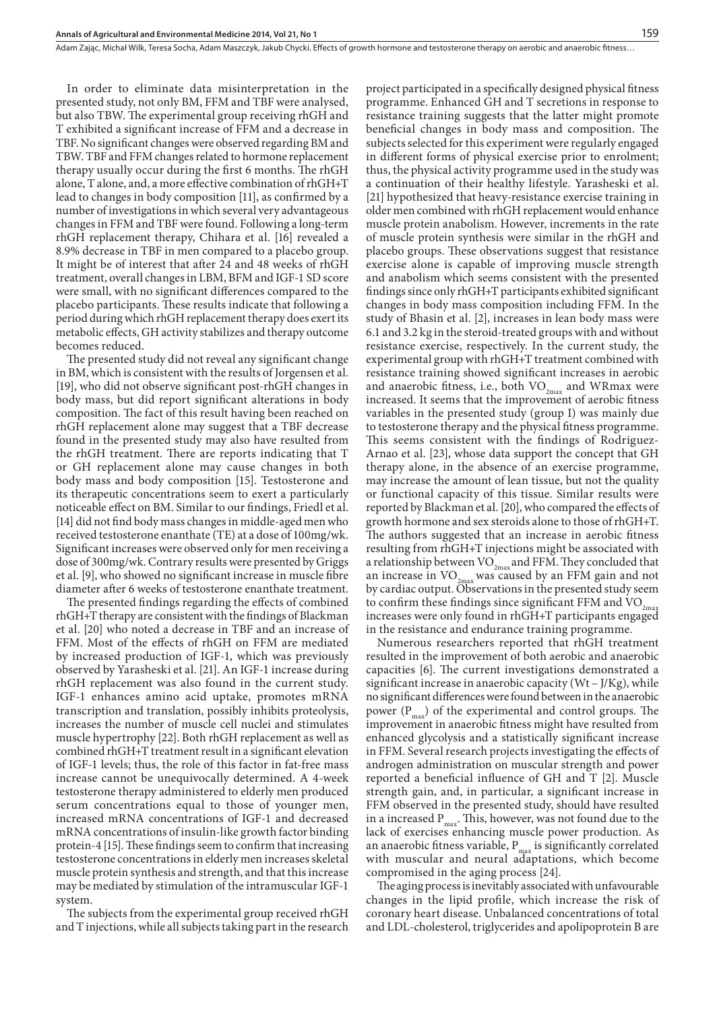In order to eliminate data misinterpretation in the presented study, not only BM, FFM and TBF were analysed, but also TBW. The experimental group receiving rhGH and T exhibited a significant increase of FFM and a decrease in TBF. No significant changes were observed regarding BM and TBW. TBF and FFM changes related to hormone replacement therapy usually occur during the first 6 months. The rhGH alone, T alone, and, a more effective combination of rhGH+T lead to changes in body composition [11], as confirmed by a number of investigations in which several very advantageous changes in FFM and TBF were found. Following a long-term rhGH replacement therapy, Chihara et al. [16] revealed a 8.9% decrease in TBF in men compared to a placebo group. It might be of interest that after 24 and 48 weeks of rhGH treatment, overall changes in LBM, BFM and IGF-1 SD score were small, with no significant differences compared to the placebo participants. These results indicate that following a period during which rhGH replacement therapy does exert its metabolic effects, GH activity stabilizes and therapy outcome becomes reduced.

The presented study did not reveal any significant change in BM, which is consistent with the results of Jorgensen et al. [19], who did not observe significant post-rhGH changes in body mass, but did report significant alterations in body composition. The fact of this result having been reached on rhGH replacement alone may suggest that a TBF decrease found in the presented study may also have resulted from the rhGH treatment. There are reports indicating that T or GH replacement alone may cause changes in both body mass and body composition [15]. Testosterone and its therapeutic concentrations seem to exert a particularly noticeable effect on BM. Similar to our findings, Friedl et al. [14] did not find body mass changes in middle-aged men who received testosterone enanthate (TE) at a dose of 100mg/wk. Significant increases were observed only for men receiving a dose of 300mg/wk. Contrary results were presented by Griggs et al. [9], who showed no significant increase in muscle fibre diameter after 6 weeks of testosterone enanthate treatment.

The presented findings regarding the effects of combined rhGH+T therapy are consistent with the findings of Blackman et al. [20] who noted a decrease in TBF and an increase of FFM. Most of the effects of rhGH on FFM are mediated by increased production of IGF-1, which was previously observed by Yarasheski et al. [21]. An IGF-1 increase during rhGH replacement was also found in the current study. IGF-1 enhances amino acid uptake, promotes mRNA transcription and translation, possibly inhibits proteolysis, increases the number of muscle cell nuclei and stimulates muscle hypertrophy [22]. Both rhGH replacement as well as combined rhGH+T treatment result in a significant elevation of IGF-1 levels; thus, the role of this factor in fat-free mass increase cannot be unequivocally determined. A 4-week testosterone therapy administered to elderly men produced serum concentrations equal to those of younger men, increased mRNA concentrations of IGF-1 and decreased mRNA concentrations of insulin-like growth factor binding protein-4 [15]. These findings seem to confirm that increasing testosterone concentrations in elderly men increases skeletal muscle protein synthesis and strength, and that this increase may be mediated by stimulation of the intramuscular IGF-1 system.

The subjects from the experimental group received rhGH and T injections, while all subjects taking part in the research project participated in a specifically designed physical fitness programme. Enhanced GH and T secretions in response to resistance training suggests that the latter might promote beneficial changes in body mass and composition. The subjects selected for this experiment were regularly engaged in different forms of physical exercise prior to enrolment; thus, the physical activity programme used in the study was a continuation of their healthy lifestyle. Yarasheski et al. [21] hypothesized that heavy-resistance exercise training in older men combined with rhGH replacement would enhance muscle protein anabolism. However, increments in the rate of muscle protein synthesis were similar in the rhGH and placebo groups. These observations suggest that resistance exercise alone is capable of improving muscle strength and anabolism which seems consistent with the presented findings since only rhGH+T participants exhibited significant changes in body mass composition including FFM. In the study of Bhasin et al. [2], increases in lean body mass were 6.1 and 3.2 kg in the steroid-treated groups with and without resistance exercise, respectively. In the current study, the experimental group with rhGH+T treatment combined with resistance training showed significant increases in aerobic and anaerobic fitness, i.e., both  $VO_{2max}$  and WRmax were increased. It seems that the improvement of aerobic fitness variables in the presented study (group I) was mainly due to testosterone therapy and the physical fitness programme. This seems consistent with the findings of Rodriguez-Arnao et al. [23], whose data support the concept that GH therapy alone, in the absence of an exercise programme, may increase the amount of lean tissue, but not the quality or functional capacity of this tissue. Similar results were reported by Blackman et al. [20], who compared the effects of growth hormone and sex steroids alone to those of rhGH+T. The authors suggested that an increase in aerobic fitness resulting from rhGH+T injections might be associated with a relationship between  $\rm VO_{2max}$  and FFM. They concluded that an increase in  $VO_{2<sub>max</sub>}$  was caused by an FFM gain and not by cardiac output. Observations in the presented study seem to confirm these findings since significant FFM and  $VO_{2m}$ increases were only found in rhGH+T participants engaged in the resistance and endurance training programme.

Numerous researchers reported that rhGH treatment resulted in the improvement of both aerobic and anaerobic capacities [6]. The current investigations demonstrated a significant increase in anaerobic capacity (Wt – J/Kg), while no significant differences were found between in the anaerobic power  $(P_{\text{max}})$  of the experimental and control groups. The improvement in anaerobic fitness might have resulted from enhanced glycolysis and a statistically significant increase in FFM. Several research projects investigating the effects of androgen administration on muscular strength and power reported a beneficial influence of GH and T [2]. Muscle strength gain, and, in particular, a significant increase in FFM observed in the presented study, should have resulted in a increased  $P_{max}$ . This, however, was not found due to the lack of exercises enhancing muscle power production. As an anaerobic fitness variable,  $\mathrm{P}_{\mathrm{max}}$  is significantly correlated with muscular and neural adaptations, which become compromised in the aging process [24].

The aging process is inevitably associated with unfavourable changes in the lipid profile, which increase the risk of coronary heart disease. Unbalanced concentrations of total and LDL-cholesterol, triglycerides and apolipoprotein B are